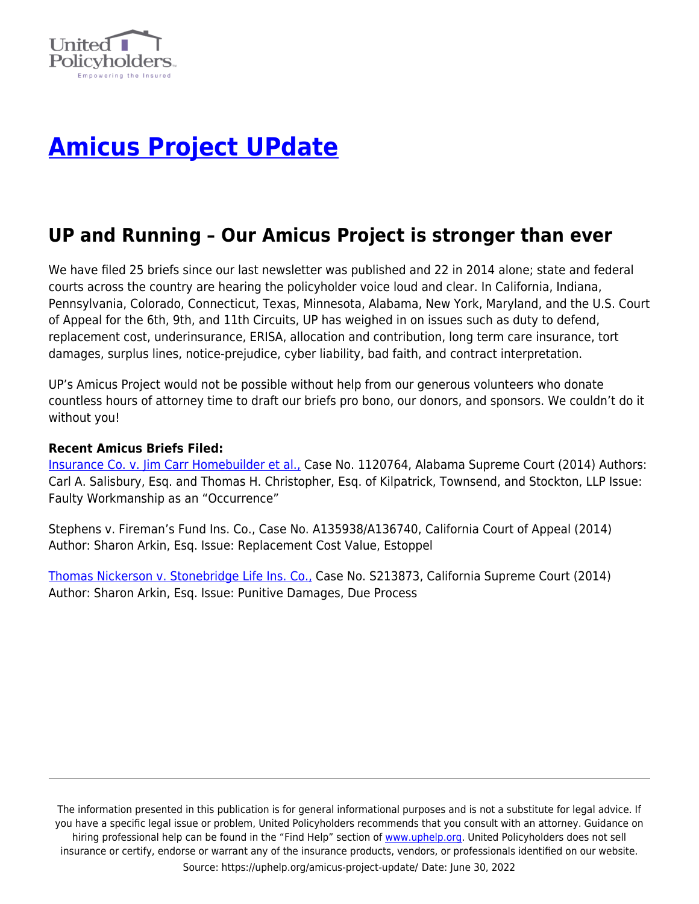

## **[Amicus Project UPdate](https://uphelp.org/amicus-project-update/)**

## **UP and Running – Our Amicus Project is stronger than ever**

We have filed 25 briefs since our last newsletter was published and 22 in 2014 alone; state and federal courts across the country are hearing the policyholder voice loud and clear. In California, Indiana, Pennsylvania, Colorado, Connecticut, Texas, Minnesota, Alabama, New York, Maryland, and the U.S. Court of Appeal for the 6th, 9th, and 11th Circuits, UP has weighed in on issues such as duty to defend, replacement cost, underinsurance, ERISA, allocation and contribution, long term care insurance, tort damages, surplus lines, notice-prejudice, cyber liability, bad faith, and contract interpretation.

UP's Amicus Project would not be possible without help from our generous volunteers who donate countless hours of attorney time to draft our briefs pro bono, our donors, and sponsors. We couldn't do it without you!

## **Recent Amicus Briefs Filed:**

[Insurance Co. v. Jim Carr Homebuilder et al.,](https://uphelp.org/amicus-briefs/owners-insurance-company-v-jim-carr-homebuilder-et-al/) Case No. 1120764, Alabama Supreme Court (2014) Authors: Carl A. Salisbury, Esq. and Thomas H. Christopher, Esq. of Kilpatrick, Townsend, and Stockton, LLP Issue: Faulty Workmanship as an "Occurrence"

Stephens v. Fireman's Fund Ins. Co., Case No. A135938/A136740, California Court of Appeal (2014) Author: Sharon Arkin, Esq. Issue: Replacement Cost Value, Estoppel

[Thomas Nickerson v. Stonebridge Life Ins. Co.,](https://uphelp.org/amicus-briefs/thomas-nickerson-v-stonebridge-life-ins-co/) Case No. S213873, California Supreme Court (2014) Author: Sharon Arkin, Esq. Issue: Punitive Damages, Due Process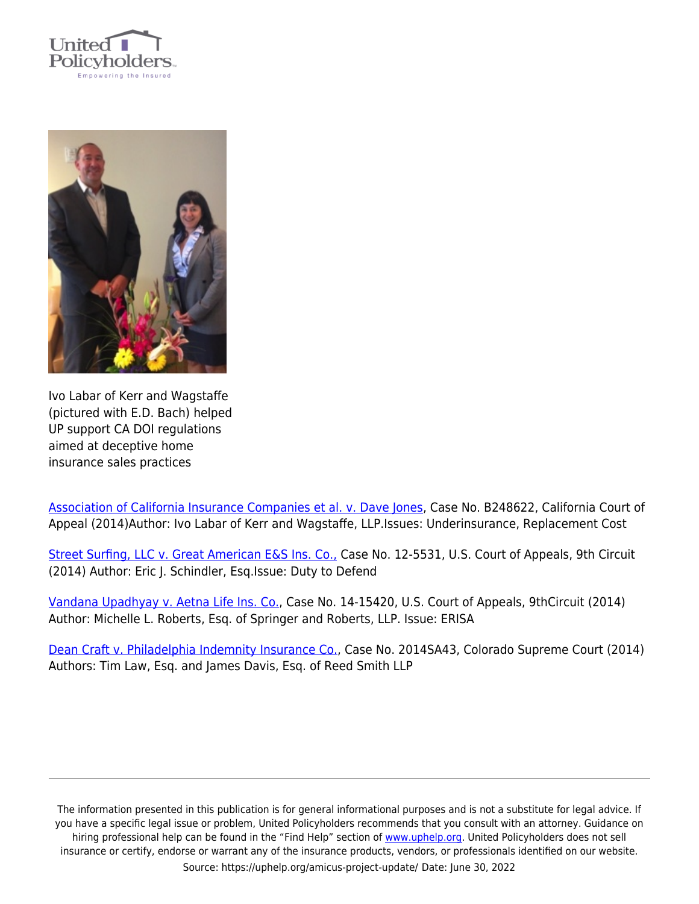



Ivo Labar of Kerr and Wagstaffe (pictured with E.D. Bach) helped UP support CA DOI regulations aimed at deceptive home insurance sales practices

[Association of California Insurance Companies et al. v. Dave Jones,](https://uphelp.org/amicus-briefs/association-of-california-insurance-companies-et-al-v-dave-jones-in-his-capacity-as-insurance-commissioner-for-the-state-of-california/) Case No. B248622, California Court of Appeal (2014)Author: Ivo Labar of Kerr and Wagstaffe, LLP.Issues: Underinsurance, Replacement Cost

[Street Surfing, LLC v. Great American E&S Ins. Co.,](https://uphelp.org/amicus-briefs/street-surfing-llc-v-great-american-es-ins-co/) Case No. 12-5531, U.S. Court of Appeals, 9th Circuit (2014) Author: Eric J. Schindler, Esq.Issue: Duty to Defend

[Vandana Upadhyay v. Aetna Life Ins. Co.,](https://uphelp.org/amicus-briefs/vandana-upadhyay-v-aetna-life-ins-co/) Case No. 14-15420, U.S. Court of Appeals, 9thCircuit (2014) Author: Michelle L. Roberts, Esq. of Springer and Roberts, LLP. Issue: ERISA

[Dean Craft v. Philadelphia Indemnity Insurance Co.,](https://uphelp.org/amicus-briefs/dean-craft-v-philadelphia-indemnity-insurance-company/) Case No. 2014SA43, Colorado Supreme Court (2014) Authors: Tim Law, Esq. and James Davis, Esq. of Reed Smith LLP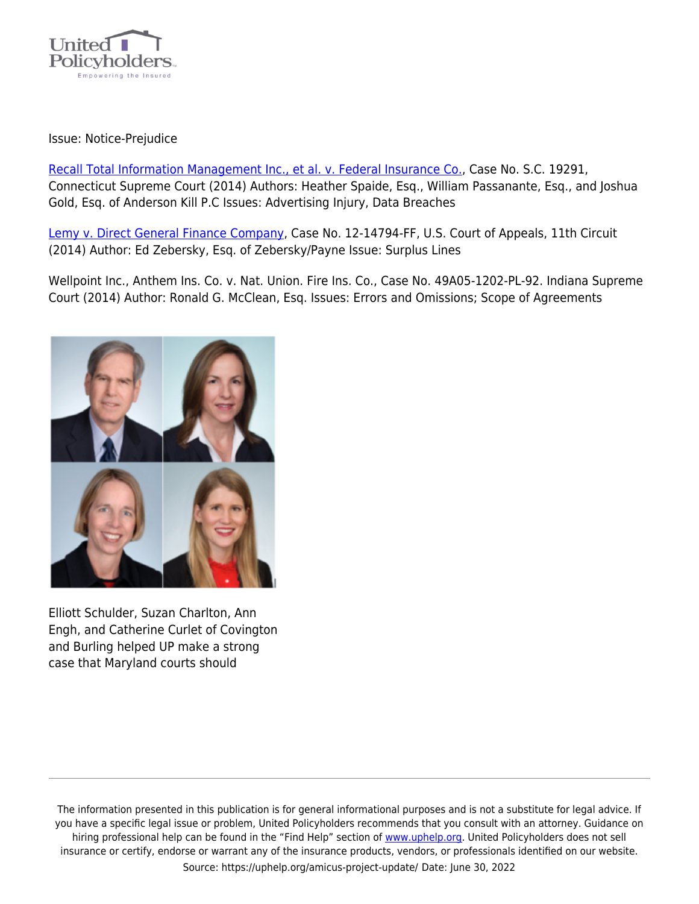

## Issue: Notice-Prejudice

[Recall Total Information Management Inc., et al. v. Federal Insurance Co.,](https://uphelp.org/amicus-briefs/recall-total-information-management-inc-et-al-v-federal-insurance-co/) Case No. S.C. 19291, Connecticut Supreme Court (2014) Authors: Heather Spaide, Esq., William Passanante, Esq., and Joshua Gold, Esq. of Anderson Kill P.C Issues: Advertising Injury, Data Breaches

[Lemy v. Direct General Finance Company,](https://uphelp.org/amicus-briefs/lemy-v-direct-general-finance-company/) Case No. 12-14794-FF, U.S. Court of Appeals, 11th Circuit (2014) Author: Ed Zebersky, Esq. of Zebersky/Payne Issue: Surplus Lines

Wellpoint Inc., Anthem Ins. Co. v. Nat. Union. Fire Ins. Co., Case No. 49A05-1202-PL-92. Indiana Supreme Court (2014) Author: Ronald G. McClean, Esq. Issues: Errors and Omissions; Scope of Agreements



Elliott Schulder, Suzan Charlton, Ann Engh, and Catherine Curlet of Covington and Burling helped UP make a strong case that Maryland courts should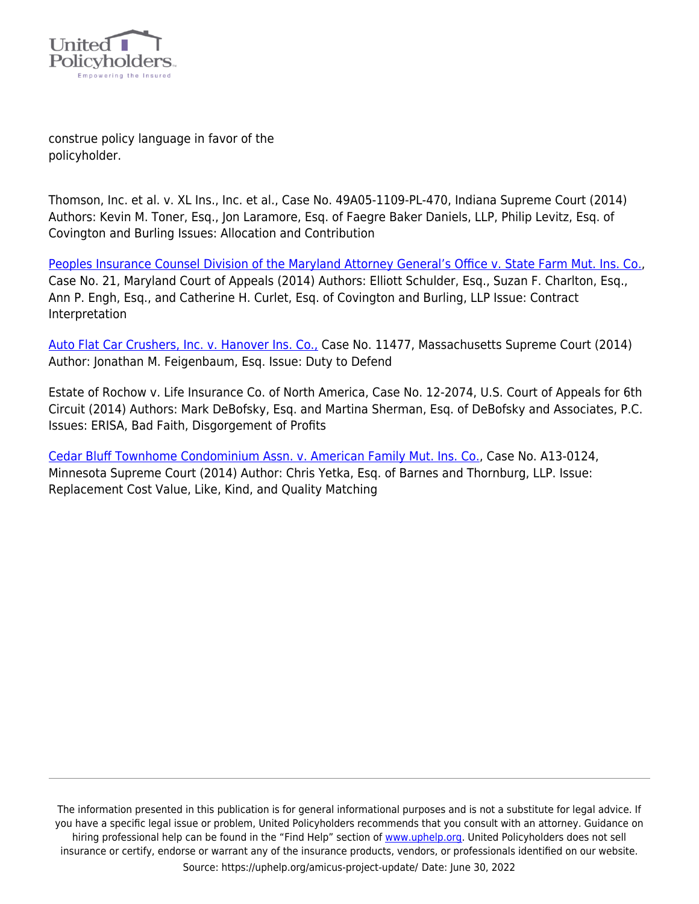

construe policy language in favor of the policyholder.

Thomson, Inc. et al. v. XL Ins., Inc. et al., Case No. 49A05-1109-PL-470, Indiana Supreme Court (2014) Authors: Kevin M. Toner, Esq., Jon Laramore, Esq. of Faegre Baker Daniels, LLP, Philip Levitz, Esq. of Covington and Burling Issues: Allocation and Contribution

[Peoples Insurance Counsel Division of the Maryland Attorney General's Office v. State Farm Mut. Ins. Co.](https://uphelp.org/amicus-briefs/peoples-insurance-counsel-division-v-state-farm/), Case No. 21, Maryland Court of Appeals (2014) Authors: Elliott Schulder, Esq., Suzan F. Charlton, Esq., Ann P. Engh, Esq., and Catherine H. Curlet, Esq. of Covington and Burling, LLP Issue: Contract Interpretation

[Auto Flat Car Crushers, Inc. v. Hanover Ins. Co.,](https://uphelp.org/amicus-briefs/auto-flat-car-crushers-inc-v-hanover-ins-co/) Case No. 11477, Massachusetts Supreme Court (2014) Author: Jonathan M. Feigenbaum, Esq. Issue: Duty to Defend

Estate of Rochow v. Life Insurance Co. of North America, Case No. 12-2074, U.S. Court of Appeals for 6th Circuit (2014) Authors: Mark DeBofsky, Esq. and Martina Sherman, Esq. of DeBofsky and Associates, P.C. Issues: ERISA, Bad Faith, Disgorgement of Profits

[Cedar Bluff Townhome Condominium Assn. v. American Family Mut. Ins. Co.](https://uphelp.org/amicus-briefs/cedar-bluff-townhome-condominium-assn-v-american-family-mut-ins-co/), Case No. A13-0124, Minnesota Supreme Court (2014) Author: Chris Yetka, Esq. of Barnes and Thornburg, LLP. Issue: Replacement Cost Value, Like, Kind, and Quality Matching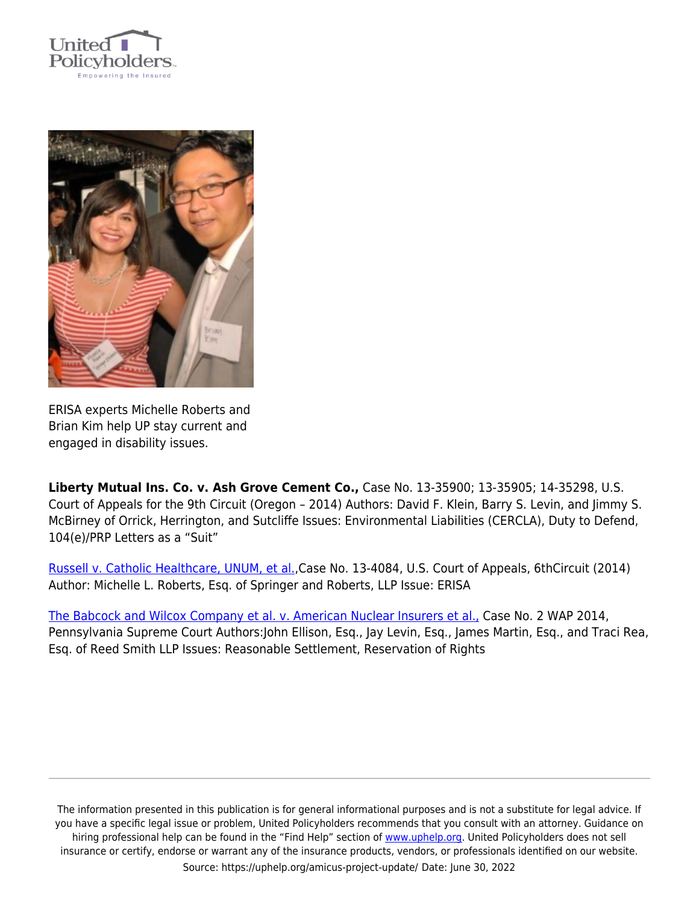



ERISA experts Michelle Roberts and Brian Kim help UP stay current and engaged in disability issues.

**Liberty Mutual Ins. Co. v. Ash Grove Cement Co.,** Case No. 13-35900; 13-35905; 14-35298, U.S. Court of Appeals for the 9th Circuit (Oregon – 2014) Authors: David F. Klein, Barry S. Levin, and Jimmy S. McBirney of Orrick, Herrington, and Sutcliffe Issues: Environmental Liabilities (CERCLA), Duty to Defend, 104(e)/PRP Letters as a "Suit"

[Russell v. Catholic Healthcare, UNUM, et al.](https://uphelp.org/amicus-briefs/russell-v-catholic-healthcare-unum-et-al/),Case No. 13-4084, U.S. Court of Appeals, 6thCircuit (2014) Author: Michelle L. Roberts, Esq. of Springer and Roberts, LLP Issue: ERISA

[The Babcock and Wilcox Company et al. v. American Nuclear Insurers et al.,](https://uphelp.org/amicus-briefs/the-babcock-and-wilcox-company-et-al-v-american-nuclear-insurers-et-al/) Case No. 2 WAP 2014, Pennsylvania Supreme Court Authors:John Ellison, Esq., Jay Levin, Esq., James Martin, Esq., and Traci Rea, Esq. of Reed Smith LLP Issues: Reasonable Settlement, Reservation of Rights